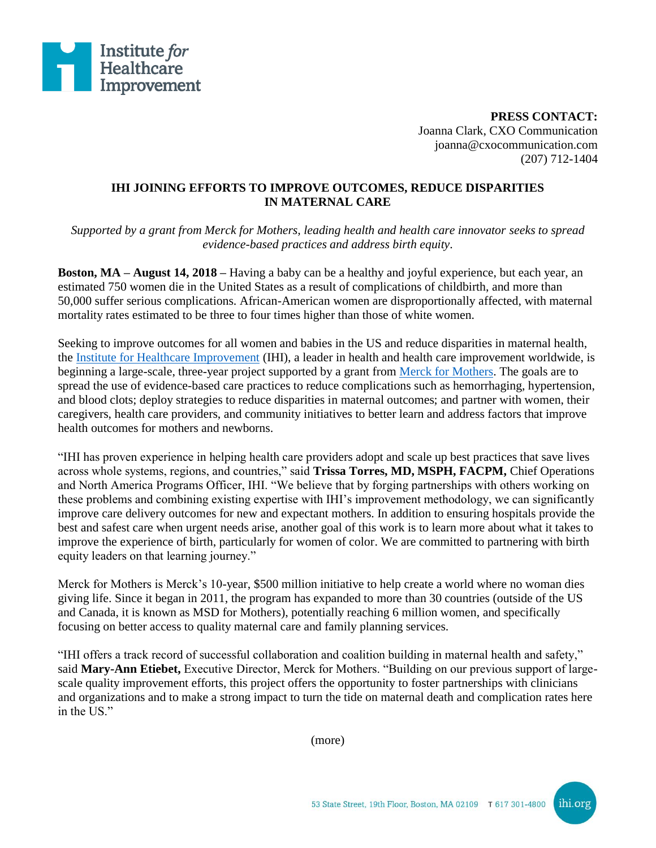

**PRESS CONTACT:** Joanna Clark, CXO Communication joanna@cxocommunication.com (207) 712-1404

## **IHI JOINING EFFORTS TO IMPROVE OUTCOMES, REDUCE DISPARITIES IN MATERNAL CARE**

*Supported by a grant from Merck for Mothers, leading health and health care innovator seeks to spread evidence-based practices and address birth equity.*

**Boston, MA – August 14, 2018 –** Having a baby can be a healthy and joyful experience, but each year, an estimated 750 women die in the United States as a result of complications of childbirth, and more than 50,000 suffer serious complications. African-American women are disproportionally affected, with maternal mortality rates estimated to be three to four times higher than those of white women.

Seeking to improve outcomes for all women and babies in the US and reduce disparities in maternal health, the [Institute for Healthcare Improvement](http://www.ihi.org/?utm_source=IHI_Press_Release&utm_medium=Business_Wire&utm_campaign=Merck_for_Mothers_US) (IHI), a leader in health and health care improvement worldwide, is beginning a large-scale, three-year project supported by a grant from [Merck for Mothers.](http://merckformothers.com/) The goals are to spread the use of evidence-based care practices to reduce complications such as hemorrhaging, hypertension, and blood clots; deploy strategies to reduce disparities in maternal outcomes; and partner with women, their caregivers, health care providers, and community initiatives to better learn and address factors that improve health outcomes for mothers and newborns.

"IHI has proven experience in helping health care providers adopt and scale up best practices that save lives across whole systems, regions, and countries," said **Trissa Torres, MD, MSPH, FACPM,** Chief Operations and North America Programs Officer, IHI. "We believe that by forging partnerships with others working on these problems and combining existing expertise with IHI's improvement methodology, we can significantly improve care delivery outcomes for new and expectant mothers. In addition to ensuring hospitals provide the best and safest care when urgent needs arise, another goal of this work is to learn more about what it takes to improve the experience of birth, particularly for women of color. We are committed to partnering with birth equity leaders on that learning journey."

Merck for Mothers is Merck's 10-year, \$500 million initiative to help create a world where no woman dies giving life. Since it began in 2011, the program has expanded to more than 30 countries (outside of the US and Canada, it is known as MSD for Mothers), potentially reaching 6 million women, and specifically focusing on better access to quality maternal care and family planning services.

"IHI offers a track record of successful collaboration and coalition building in maternal health and safety," said **Mary-Ann Etiebet,** Executive Director, Merck for Mothers. "Building on our previous support of largescale quality improvement efforts, this project offers the opportunity to foster partnerships with clinicians and organizations and to make a strong impact to turn the tide on maternal death and complication rates here in the US."

(more)